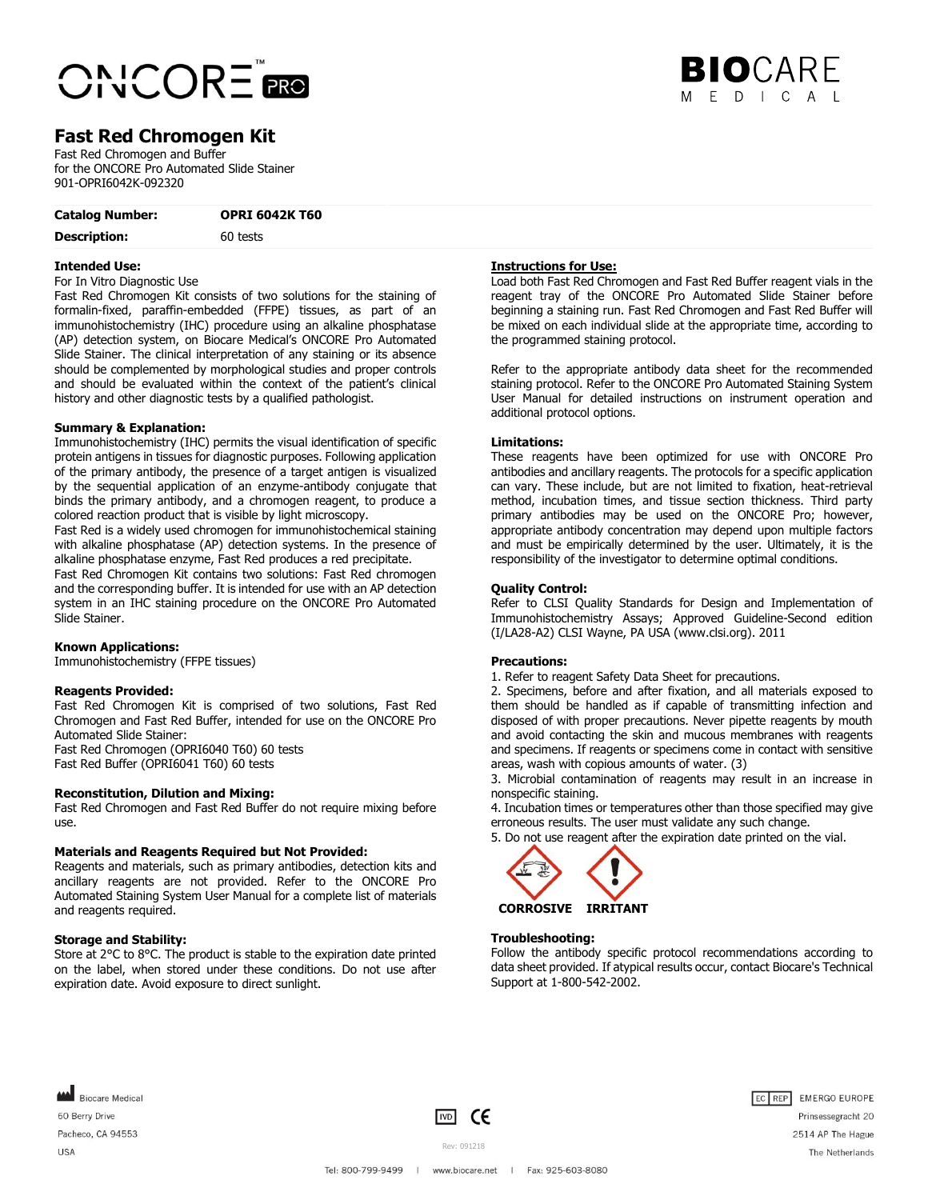

# **BIO**CARE  $F D L C A L$

# **Fast Red Chromogen Kit**

Fast Red Chromogen and Buffer for the ONCORE Pro Automated Slide Stainer 901-OPRI6042K-092320

**Catalog Number: OPRI 6042K T60**

**Description:** 60 tests

### **Intended Use:**

For In Vitro Diagnostic Use

Fast Red Chromogen Kit consists of two solutions for the staining of formalin-fixed, paraffin-embedded (FFPE) tissues, as part of an immunohistochemistry (IHC) procedure using an alkaline phosphatase (AP) detection system, on Biocare Medical's ONCORE Pro Automated Slide Stainer. The clinical interpretation of any staining or its absence should be complemented by morphological studies and proper controls and should be evaluated within the context of the patient's clinical history and other diagnostic tests by a qualified pathologist.

# **Summary & Explanation:**

Immunohistochemistry (IHC) permits the visual identification of specific protein antigens in tissues for diagnostic purposes. Following application of the primary antibody, the presence of a target antigen is visualized by the sequential application of an enzyme-antibody conjugate that binds the primary antibody, and a chromogen reagent, to produce a colored reaction product that is visible by light microscopy.

Fast Red is a widely used chromogen for immunohistochemical staining with alkaline phosphatase (AP) detection systems. In the presence of alkaline phosphatase enzyme, Fast Red produces a red precipitate.

Fast Red Chromogen Kit contains two solutions: Fast Red chromogen and the corresponding buffer. It is intended for use with an AP detection system in an IHC staining procedure on the ONCORE Pro Automated Slide Stainer.

# **Known Applications:**

Immunohistochemistry (FFPE tissues)

### **Reagents Provided:**

Fast Red Chromogen Kit is comprised of two solutions, Fast Red Chromogen and Fast Red Buffer, intended for use on the ONCORE Pro Automated Slide Stainer: Fast Red Chromogen (OPRI6040 T60) 60 tests

Fast Red Buffer (OPRI6041 T60) 60 tests

# **Reconstitution, Dilution and Mixing:**

Fast Red Chromogen and Fast Red Buffer do not require mixing before use.

### **Materials and Reagents Required but Not Provided:**

Reagents and materials, such as primary antibodies, detection kits and ancillary reagents are not provided. Refer to the ONCORE Pro Automated Staining System User Manual for a complete list of materials and reagents required.

## **Storage and Stability:**

Store at 2°C to 8°C. The product is stable to the expiration date printed on the label, when stored under these conditions. Do not use after expiration date. Avoid exposure to direct sunlight.

# **Instructions for Use:**

Load both Fast Red Chromogen and Fast Red Buffer reagent vials in the reagent tray of the ONCORE Pro Automated Slide Stainer before beginning a staining run. Fast Red Chromogen and Fast Red Buffer will be mixed on each individual slide at the appropriate time, according to the programmed staining protocol.

Refer to the appropriate antibody data sheet for the recommended staining protocol. Refer to the ONCORE Pro Automated Staining System User Manual for detailed instructions on instrument operation and additional protocol options.

### **Limitations:**

These reagents have been optimized for use with ONCORE Pro antibodies and ancillary reagents. The protocols for a specific application can vary. These include, but are not limited to fixation, heat-retrieval method, incubation times, and tissue section thickness. Third party primary antibodies may be used on the ONCORE Pro; however, appropriate antibody concentration may depend upon multiple factors and must be empirically determined by the user. Ultimately, it is the responsibility of the investigator to determine optimal conditions.

### **Quality Control:**

Refer to CLSI Quality Standards for Design and Implementation of Immunohistochemistry Assays; Approved Guideline-Second edition (I/LA28-A2) CLSI Wayne, PA USA (www.clsi.org). 2011

### **Precautions:**

1. Refer to reagent Safety Data Sheet for precautions.

2. Specimens, before and after fixation, and all materials exposed to them should be handled as if capable of transmitting infection and disposed of with proper precautions. Never pipette reagents by mouth and avoid contacting the skin and mucous membranes with reagents and specimens. If reagents or specimens come in contact with sensitive areas, wash with copious amounts of water. (3)

3. Microbial contamination of reagents may result in an increase in nonspecific staining.

4. Incubation times or temperatures other than those specified may give erroneous results. The user must validate any such change.

5. Do not use reagent after the expiration date printed on the vial.



### **Troubleshooting:**

Follow the antibody specific protocol recommendations according to data sheet provided. If atypical results occur, contact Biocare's Technical Support at 1-800-542-2002.

Biocare Medical 60 Berry Drive Pacheco, CA 94553 **USA** 





Prinsessegracht 20 2514 AP The Hague The Netherlands